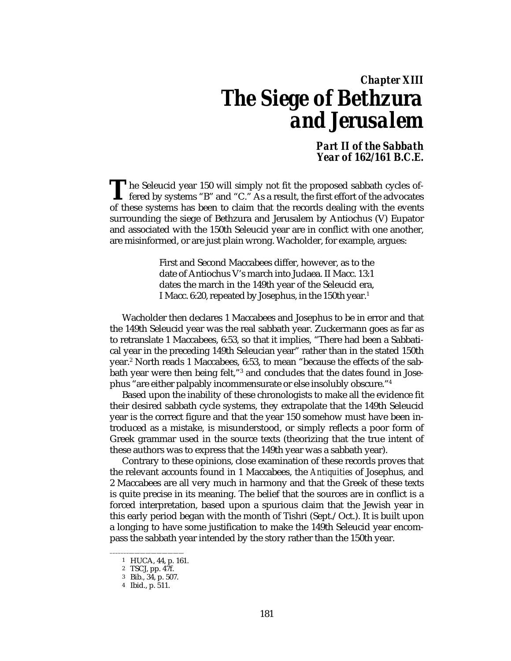# *Chapter XIII The Siege of Bethzura and Jerusalem*

*Part II of the Sabbath Year of 162/161 B.C.E.*

he Seleucid year 150 will simply not fit the proposed sabbath cycles of-The Seleucid year 150 will simply not fit the proposed sabbath cycles of-<br>fered by systems "B" and "C." As a result, the first effort of the advocates<br>of these gystems has been to claim that the people decline with the sys of these systems has been to claim that the records dealing with the events surrounding the siege of Bethzura and Jerusalem by Antiochus (V) Eupator and associated with the 150th Seleucid year are in conflict with one another, are misinformed, or are just plain wrong. Wacholder, for example, argues:

> First and Second Maccabees differ, however, as to the date of Antiochus V's march into Judaea. II Macc. 13:1 dates the march in the 149th year of the Seleucid era, I Macc. 6:20, repeated by Josephus, in the 150th year.1

Wacholder then declares 1 Maccabees and Josephus to be in error and that the 149th Seleucid year was the real sabbath year. Zuckermann goes as far as to retranslate 1 Maccabees, 6:53, so that it implies, "There had been a Sabbatical year in the preceding 149th Seleucian year" rather than in the stated 150th year.2 North reads 1 Maccabees, 6:53, to mean "because the effects of the sabbath year were then being felt,"<sup>3</sup> and concludes that the dates found in Josephus "are either palpably incommensurate or else insolubly obscure."4

Based upon the inability of these chronologists to make all the evidence fit their desired sabbath cycle systems, they extrapolate that the 149th Seleucid year is the correct figure and that the year 150 somehow must have been introduced as a mistake, is misunderstood, or simply reflects a poor form of Greek grammar used in the source texts (theorizing that the true intent of these authors was to express that the 149th year was a sabbath year).

Contrary to these opinions, close examination of these records proves that the relevant accounts found in 1 Maccabees, the *Antiquities* of Josephus, and 2 Maccabees are all very much in harmony and that the Greek of these texts is quite precise in its meaning. The belief that the sources are in conflict is a forced interpretation, based upon a spurious claim that the Jewish year in this early period began with the month of Tishri (Sept./Oct.). It is built upon a longing to have some justification to make the 149th Seleucid year encompass the sabbath year intended by the story rather than the 150th year.

–––––––——————————

<sup>1</sup> HUCA, 44, p. 161.

<sup>2</sup> TSCJ, pp. 47f.

<sup>3</sup> Bib., 34, p. 507.

<sup>4</sup> Ibid., p. 511.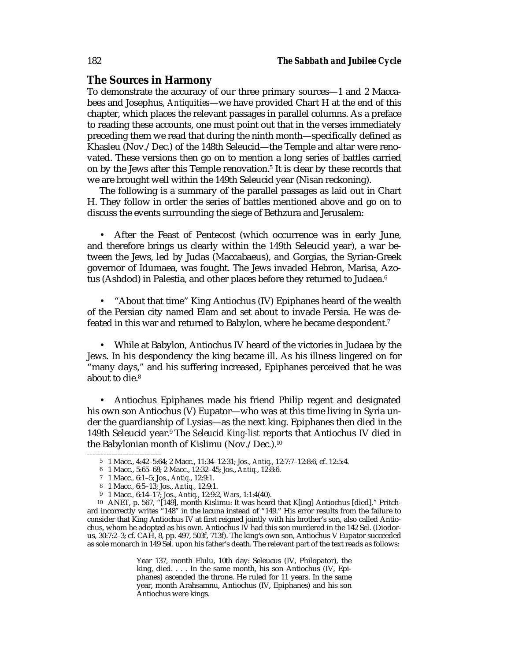# **The Sources in Harmony**

To demonstrate the accuracy of our three primary sources—1 and 2 Maccabees and Josephus, *Antiquities*—we have provided Chart H at the end of this chapter, which places the relevant passages in parallel columns. As a preface to reading these accounts, one must point out that in the verses immediately preceding them we read that during the ninth month—specifically defined as Khasleu (Nov./Dec.) of the 148th Seleucid—the Temple and altar were renovated. These versions then go on to mention a long series of battles carried on by the Jews after this Temple renovation.<sup>5</sup> It is clear by these records that we are brought well within the 149th Seleucid year (Nisan reckoning).

The following is a summary of the parallel passages as laid out in Chart H. They follow in order the series of battles mentioned above and go on to discuss the events surrounding the siege of Bethzura and Jerusalem:

• After the Feast of Pentecost (which occurrence was in early June, and therefore brings us clearly within the 149th Seleucid year), a war between the Jews, led by Judas (Maccabaeus), and Gorgias, the Syrian-Greek governor of Idumaea, was fought. The Jews invaded Hebron, Marisa, Azotus (Ashdod) in Palestia, and other places before they returned to Judaea.<sup>6</sup>

• "About that time" King Antiochus (IV) Epiphanes heard of the wealth of the Persian city named Elam and set about to invade Persia. He was defeated in this war and returned to Babylon, where he became despondent.<sup>7</sup>

• While at Babylon, Antiochus IV heard of the victories in Judaea by the Jews. In his despondency the king became ill. As his illness lingered on for "many days," and his suffering increased, Epiphanes perceived that he was about to die.<sup>8</sup>

• Antiochus Epiphanes made his friend Philip regent and designated his own son Antiochus (V) Eupator—who was at this time living in Syria under the guardianship of Lysias—as the next king. Epiphanes then died in the 149th Seleucid year.9 The *Seleucid King-list* reports that Antiochus IV died in the Babylonian month of Kislimu (Nov./Dec.).<sup>10</sup>

–––––––——————————

Year 137, month Elulu, 10th day: Seleucus (IV, Philopator), the king, died. . . . In the same month, his son Antiochus (IV, Epiphanes) ascended the throne. He ruled for 11 years. In the same year, month Arahsamnu, Antiochus (IV, Epiphanes) and his son Antiochus were kings.

<sup>5</sup> 1 Macc., 4:42–5:64; 2 Macc., 11:34–12:31; Jos., *Antiq.*, 12:7:7–12:8:6, cf. 12:5:4.

<sup>6</sup> 1 Macc., 5:65–68; 2 Macc., 12:32–45; Jos., *Antiq.*, 12:8:6.

<sup>7</sup> 1 Macc*.,* 6:1–5; Jos., *Antiq.*, 12:9:1.

<sup>8</sup> 1 Macc*.,* 6:5–13; Jos., *Antiq.*, 12:9:1.

<sup>9</sup> 1 Macc*.,* 6:14–17; Jos., *Antiq.*, 12:9:2, *Wars*, 1:1:4(40).

<sup>10</sup> ANET, p. 567, "[149], month Kislimu: It was heard that K[ing] Antiochus [died]." Pritchard incorrectly writes "148" in the lacuna instead of "149." His error results from the failure to consider that King Antiochus IV at first reigned jointly with his brother's son, also called Antiochus, whom he adopted as his own. Antiochus IV had this son murdered in the 142 Sel. (Diodorus, 30:7:2–3; cf. CAH, 8, pp. 497, 503f, 713f). The king's own son, Antiochus V Eupator succeeded as sole monarch in 149 Sel. upon his father's death. The relevant part of the text reads as follows: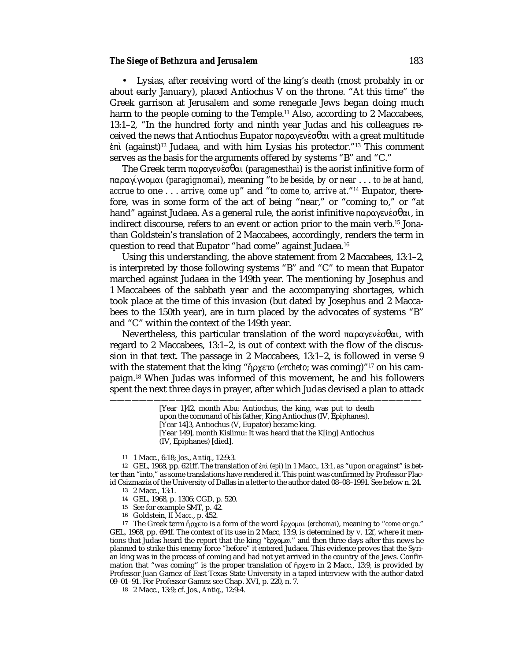### *The Siege of Bethzura and Jerusalem* 183

• Lysias, after receiving word of the king's death (most probably in or about early January), placed Antiochus V on the throne. "At this time" the Greek garrison at Jerusalem and some renegade Jews began doing much harm to the people coming to the Temple.<sup>11</sup> Also, according to 2 Maccabees, 13:1–2, "In the hundred forty and ninth year Judas and his colleagues received the news that Antiochus Eupator παραγενέσθαι with a great multitude  $\dot{\epsilon}\pi\dot{\tau}$  (against)<sup>12</sup> Judaea, and with him Lysias his protector."<sup>13</sup> This comment serves as the basis for the arguments offered by systems "B" and "C."

The Greek term παραγενέσθαι (*paragenesthai*) is the aorist infinitive form of παραγγνοµαι (*paragignomai*), meaning "*to be beside, by* or *near* . . . *to be at hand, accrue* to one . . . *arrive, come up*" and "t*o come to, arrive at*."14 Eupator, therefore, was in some form of the act of being "near," or "coming to," or "at hand" against Judaea. As a general rule, the aorist infinitive παραγενέσθαι, in indirect discourse, refers to an event or action prior to the main verb.15 Jonathan Goldstein's translation of 2 Maccabees, accordingly, renders the term in question to read that Eupator "had come" against Judaea.16

Using this understanding, the above statement from 2 Maccabees, 13:1–2, is interpreted by those following systems "B" and "C" to mean that Eupator marched against Judaea in the 149th year. The mentioning by Josephus and 1 Maccabees of the sabbath year and the accompanying shortages, which took place at the time of this invasion (but dated by Josephus and 2 Maccabees to the 150th year), are in turn placed by the advocates of systems "B" and "C" within the context of the 149th year.

Nevertheless, this particular translation of the word παραγενέσθαι, with regard to 2 Maccabees, 13:1–2, is out of context with the flow of the discussion in that text. The passage in 2 Maccabees, 13:1–2, is followed in verse 9 with the statement that the king "ήρχετο (*ērcheto*; was coming)"<sup>17</sup> on his campaign.18 When Judas was informed of this movement, he and his followers spent the next three days in prayer, after which Judas devised a plan to attack

——————————————————————————————————————————–

11 1 Macc., 6:18; Jos., *Antiq.*, 12:9:3.

12 GEL, 1968, pp. 621ff. The translation of \π (*epi*) in 1 Macc., 13:1, as "upon or against" is better than "into," as some translations have rendered it. This point was confirmed by Professor Placid Csizmazia of the University of Dallas in a letter to the author dated 08–08–1991. See below n. 24.

13 2 Macc., 13:1.

14 GEL, 1968, p. 1306; CGD, p. 520.

15 See for example SMT, p. 42.

16 Goldstein, *II Macc.*, p. 452.

17 The Greek term ¾ρχετο is a form of the word Áρχοµαι (*erchomai*), meaning to "*come* or *go*." GEL, 1968, pp. 694f. The context of its use in 2 Macc, 13:9, is determined by v. 12f, where it mentions that Judas heard the report that the king "ἔρχομαι" and then three days after this news he planned to strike this enemy force "before" it entered Judaea. This evidence proves that the Syrian king was in the process of coming and had not yet arrived in the country of the Jews. Confirmation that "was coming" is the proper translation of  $\eta_{\text{DX}^{ext}}$  in 2 Macc., 13:9, is provided by Professor Juan Gamez of East Texas State University in a taped interview with the author dated 09–01–91. For Professor Gamez see Chap. XVI, p. 220, n. 7.

18 2 Macc., 13:9; cf. Jos., *Antiq*., 12:9:4.

<sup>[</sup>Year 1]42, month Abu: Antiochus, the king, was put to death upon the command of his father, King Antiochus (IV, Epiphanes). [Year 14]3, Antiochus (V, Eupator) became king. [Year 149], month Kislimu: It was heard that the K[ing] Antiochus

<sup>(</sup>IV, Epiphanes) [died].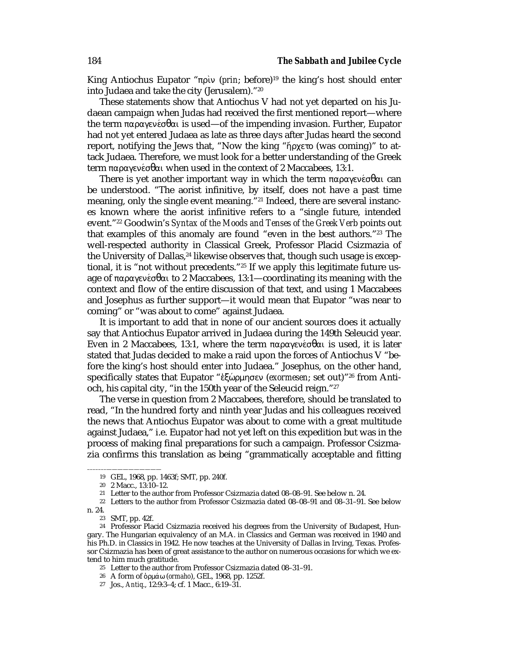King Antiochus Eupator "πρὶν (prin; before)<sup>19</sup> the king's host should enter into Judaea and take the city (Jerusalem)."20

These statements show that Antiochus V had not yet departed on his Judaean campaign when Judas had received the first mentioned report—where the term παραγενέσθαι is used—of the impending invasion. Further, Eupator had not yet entered Judaea as late as three days after Judas heard the second report, notifying the Jews that, "Now the king "ήρχετο (was coming)" to attack Judaea. Therefore, we must look for a better understanding of the Greek term παραγενέσθαι when used in the context of 2 Maccabees, 13:1.

There is yet another important way in which the term παραγενέσθαι can be understood. "The aorist infinitive, by itself, does not have a past time meaning, only the single event meaning."21 Indeed, there are several instances known where the aorist infinitive refers to a "single future, intended event."22 Goodwin's *Syntax of the Moods and Tenses of the Greek Verb* points out that examples of this anomaly are found "even in the best authors."23 The well-respected authority in Classical Greek, Professor Placid Csizmazia of the University of Dallas, $^{24}$  likewise observes that, though such usage is exceptional, it is "not without precedents."25 If we apply this legitimate future usage of παραγενέσθαι to 2 Maccabees, 13:1—coordinating its meaning with the context and flow of the entire discussion of that text, and using 1 Maccabees and Josephus as further support—it would mean that Eupator "was near to coming" or "was about to come" against Judaea.

It is important to add that in none of our ancient sources does it actually say that Antiochus Eupator arrived in Judaea during the 149th Seleucid year. Even in 2 Maccabees, 13:1, where the term παραγενέσθαι is used, it is later stated that Judas decided to make a raid upon the forces of Antiochus V "before the king's host should enter into Judaea." Josephus, on the other hand, specifically states that Eupator "\ξQρµησεν (*exormesen*; set out)"26 from Antioch, his capital city, "in the 150th year of the Seleucid reign."27

The verse in question from 2 Maccabees, therefore, should be translated to read, "In the hundred forty and ninth year Judas and his colleagues received the news that Antiochus Eupator was about to come with a great multitude against Judaea," i.e. Eupator had not yet left on this expedition but was in the process of making final preparations for such a campaign. Professor Csizmazia confirms this translation as being "grammatically acceptable and fitting

–––––––——————————

<sup>19</sup> GEL, 1968, pp. 1463f; SMT, pp. 240f.

<sup>20</sup> 2 Macc., 13:10–12.

<sup>21</sup> Letter to the author from Professor Csizmazia dated 08–08–91. See below n. 24.

<sup>22</sup> Letters to the author from Professor Csizmazia dated 08–08–91 and 08–31–91. See below n. 24.

<sup>23</sup> SMT, pp. 42f.

<sup>24</sup> Professor Placid Csizmazia received his degrees from the University of Budapest, Hungary. The Hungarian equivalency of an M.A. in Classics and German was received in 1940 and his Ph.D. in Classics in 1942. He now teaches at the University of Dallas in Irving, Texas. Professor Csizmazia has been of great assistance to the author on numerous occasions for which we extend to him much gratitude.

<sup>25</sup> Letter to the author from Professor Csizmazia dated 08–31–91.

<sup>26</sup> A form of όρμάω (*ormaho*), GEL, 1968, pp. 1252f.

<sup>27</sup> Jos., *Antiq*., 12:9:3–4; cf. 1 Macc., 6:19–31.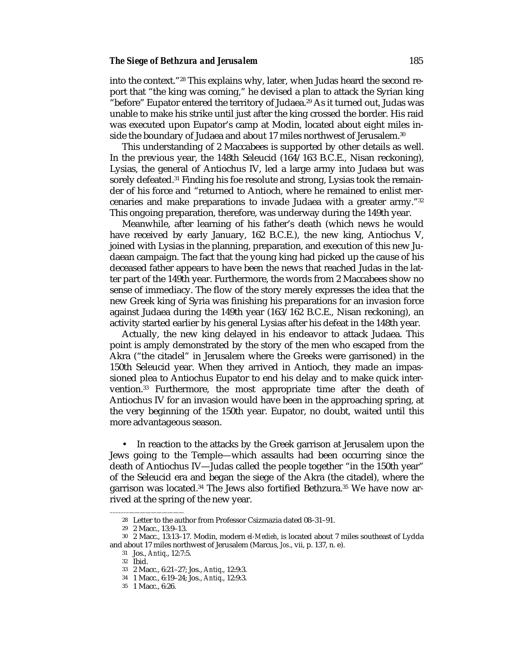### **The Siege of Bethzura and Jerusalem** 185

into the context."28 This explains why, later, when Judas heard the second report that "the king was coming," he devised a plan to attack the Syrian king "before" Eupator entered the territory of Judaea.<sup>29</sup> As it turned out, Judas was unable to make his strike until just after the king crossed the border. His raid was executed upon Eupator's camp at Modin, located about eight miles inside the boundary of Judaea and about 17 miles northwest of Jerusalem.<sup>30</sup>

This understanding of 2 Maccabees is supported by other details as well. In the previous year, the 148th Seleucid (164/163 B.C.E., Nisan reckoning), Lysias, the general of Antiochus IV, led a large army into Judaea but was sorely defeated.31 Finding his foe resolute and strong, Lysias took the remainder of his force and "returned to Antioch, where he remained to enlist mercenaries and make preparations to invade Judaea with a greater army."32 This ongoing preparation, therefore, was underway during the 149th year.

Meanwhile, after learning of his father's death (which news he would have received by early January, 162 B.C.E.), the new king, Antiochus V, joined with Lysias in the planning, preparation, and execution of this new Judaean campaign. The fact that the young king had picked up the cause of his deceased father appears to have been the news that reached Judas in the latter part of the 149th year. Furthermore, the words from 2 Maccabees show no sense of immediacy. The flow of the story merely expresses the idea that the new Greek king of Syria was finishing his preparations for an invasion force against Judaea during the 149th year (163/162 B.C.E., Nisan reckoning), an activity started earlier by his general Lysias after his defeat in the 148th year.

Actually, the new king delayed in his endeavor to attack Judaea. This point is amply demonstrated by the story of the men who escaped from the Akra ("the citadel" in Jerusalem where the Greeks were garrisoned) in the 150th Seleucid year. When they arrived in Antioch, they made an impassioned plea to Antiochus Eupator to end his delay and to make quick intervention.33 Furthermore, the most appropriate time after the death of Antiochus IV for an invasion would have been in the approaching spring, at the very beginning of the 150th year. Eupator, no doubt, waited until this more advantageous season.

• In reaction to the attacks by the Greek garrison at Jerusalem upon the Jews going to the Temple—which assaults had been occurring since the death of Antiochus IV—Judas called the people together "in the 150th year" of the Seleucid era and began the siege of the Akra (the citadel), where the garrison was located.34 The Jews also fortified Bethzura.35 We have now arrived at the spring of the new year.

–––––––——————————

<sup>28</sup> Letter to the author from Professor Csizmazia dated 08–31–91.

<sup>29</sup> 2 Macc., 13:9–13.

<sup>30</sup> 2 Macc., 13:13–17. Modin, modern *el-Medieh*, is located about 7 miles southeast of Lydda and about 17 miles northwest of Jerusalem (Marcus, *Jos*., vii, p. 137, n. e).

<sup>31</sup> Jos., *Antiq*., 12:7:5.

<sup>32</sup> Ibid.

<sup>33</sup> 2 Macc., 6:21–27; Jos., *Antiq*., 12:9:3.

<sup>34</sup> 1 Macc., 6:19–24; Jos., *Antiq*., 12:9:3.

<sup>35</sup> 1 Macc., 6:26.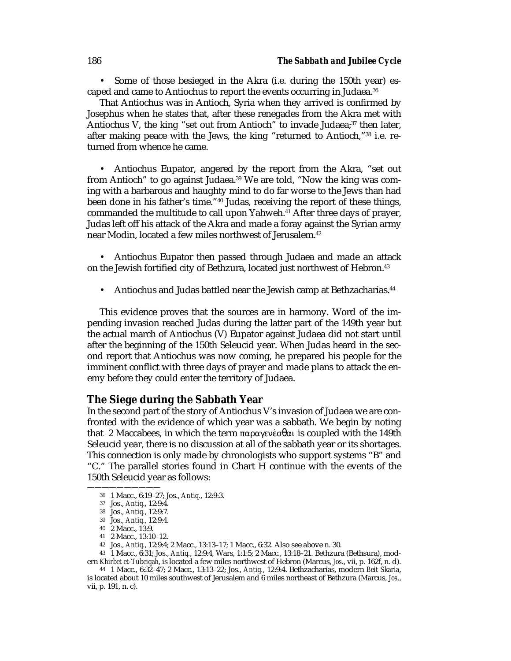• Some of those besieged in the Akra (i.e. during the 150th year) escaped and came to Antiochus to report the events occurring in Judaea.<sup>36</sup>

That Antiochus was in Antioch, Syria when they arrived is confirmed by Josephus when he states that, after these renegades from the Akra met with Antiochus V, the king "set out from Antioch" to invade Judaea; $37$  then later, after making peace with the Jews, the king "returned to Antioch,"38 i.e. returned from whence he came.

• Antiochus Eupator, angered by the report from the Akra, "set out from Antioch" to go against Judaea.<sup>39</sup> We are told, "Now the king was coming with a barbarous and haughty mind to do far worse to the Jews than had been done in his father's time."40 Judas, receiving the report of these things, commanded the multitude to call upon Yahweh.<sup>41</sup> After three days of prayer, Judas left off his attack of the Akra and made a foray against the Syrian army near Modin, located a few miles northwest of Jerusalem.42

• Antiochus Eupator then passed through Judaea and made an attack on the Jewish fortified city of Bethzura, located just northwest of Hebron.<sup>43</sup>

Antiochus and Judas battled near the Jewish camp at Bethzacharias.<sup>44</sup>

This evidence proves that the sources are in harmony. Word of the impending invasion reached Judas during the latter part of the 149th year but the actual march of Antiochus (V) Eupator against Judaea did not start until after the beginning of the 150th Seleucid year. When Judas heard in the second report that Antiochus was now coming, he prepared his people for the imminent conflict with three days of prayer and made plans to attack the enemy before they could enter the territory of Judaea.

# **The Siege during the Sabbath Year**

In the second part of the story of Antiochus V's invasion of Judaea we are confronted with the evidence of which year was a sabbath. We begin by noting that 2 Maccabees, in which the term  $\pi \alpha \rho \alpha \gamma \epsilon \sigma \theta \alpha$  is coupled with the 149th Seleucid year, there is no discussion at all of the sabbath year or its shortages. This connection is only made by chronologists who support systems "B" and "C." The parallel stories found in Chart H continue with the events of the 150th Seleucid year as follows:

——————————

41 2 Macc., 13:10–12.

43 1 Macc., 6:31; Jos., *Antiq.*, 12:9:4, Wars, 1:1:5; 2 Macc., 13:18–21. Bethzura (Bethsura), modern *Khirbet et-Tubeiqah*, is located a few miles northwest of Hebron (Marcus, *Jos*., vii, p. 162f, n. d).

44 1 Macc., 6:32–47; 2 Macc., 13:13–22; Jos., *Antiq.*, 12:9:4. Bethzacharias, modern *Beit Skaria*, is located about 10 miles southwest of Jerusalem and 6 miles northeast of Bethzura (Marcus, *Jos*., vii, p. 191, n. c).

<sup>36</sup> 1 Macc., 6:19–27; Jos., *Antiq.*, 12:9:3.

<sup>37</sup> Jos., *Antiq.,* 12:9:4.

<sup>38</sup> Jos., *Antiq.,* 12:9:7.

<sup>39</sup> Jos., *Antiq.,* 12:9:4.

<sup>40</sup> 2 Macc., 13:9.

<sup>42</sup> Jos., *Antiq.,* 12:9:4; 2 Macc., 13:13–17; 1 Macc., 6:32. Also see above n. 30.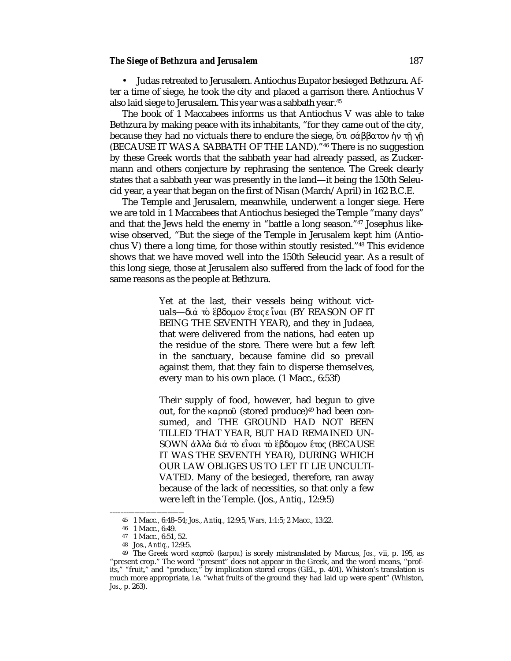### *The Siege of Bethzura and Jerusalem* 187

• Judas retreated to Jerusalem. Antiochus Eupator besieged Bethzura. After a time of siege, he took the city and placed a garrison there. Antiochus V also laid siege to Jerusalem. This year was a sabbath year.45

The book of 1 Maccabees informs us that Antiochus V was able to take Bethzura by making peace with its inhabitants, "for they came out of the city, because they had no victuals there to endure the siege,  $\delta \tau$ ι σάββατον ήν τη γη (BECAUSE IT WAS A SABBATH OF THE LAND)."46 There is no suggestion by these Greek words that the sabbath year had already passed, as Zuckermann and others conjecture by rephrasing the sentence. The Greek clearly states that a sabbath year was presently in the land—it being the 150th Seleucid year, a year that began on the first of Nisan (March/April) in 162 B.C.E.

The Temple and Jerusalem, meanwhile, underwent a longer siege. Here we are told in 1 Maccabees that Antiochus besieged the Temple "many days" and that the Jews held the enemy in "battle a long season."47 Josephus likewise observed, "But the siege of the Temple in Jerusalem kept him (Antiochus V) there a long time, for those within stoutly resisted."48 This evidence shows that we have moved well into the 150th Seleucid year. As a result of this long siege, those at Jerusalem also suffered from the lack of food for the same reasons as the people at Bethzura.

> Yet at the last, their vessels being without victuals—διά το έβδομον έτος ε ίναι (BY REASON OF IT BEING THE SEVENTH YEAR), and they in Judaea, that were delivered from the nations, had eaten up the residue of the store. There were but a few left in the sanctuary, because famine did so prevail against them, that they fain to disperse themselves, every man to his own place. (1 Macc., 6:53f)

> Their supply of food, however, had begun to give out, for the καρπού (stored produce)<sup>49</sup> had been consumed, and THE GROUND HAD NOT BEEN TILLED THAT YEAR, BUT HAD REMAINED UN-SOWN άλλά διά το είναι το έβδομον έτος (BECAUSE IT WAS THE SEVENTH YEAR), DURING WHICH OUR LAW OBLIGES US TO LET IT LIE UNCULTI-VATED. Many of the besieged, therefore, ran away because of the lack of necessities, so that only a few were left in the Temple. (Jos., *Antiq.*, 12:9:5)

<sup>45</sup> 1 Macc., 6:48–54; Jos., *Antiq.*, 12:9:5, *Wars*, 1:1:5; 2 Macc., 13:22.

<sup>–––––––——————————</sup> 46 1 Macc., 6:49.

<sup>47</sup> 1 Macc., 6:51, 52.

<sup>48</sup> Jos., *Antiq.*, 12:9:5.

<sup>&</sup>lt;sup>49</sup> The Greek word καρπού (*karpou*) is sorely mistranslated by Marcus, Jos., vii, p. 195, as "present crop." The word "present" does not appear in the Greek, and the word means, "profits," "fruit," and "produce," by implication stored crops (GEL, p. 401). Whiston's translation is much more appropriate, i.e. "what fruits of the ground they had laid up were spent" (Whiston, *Jos*., p. 263).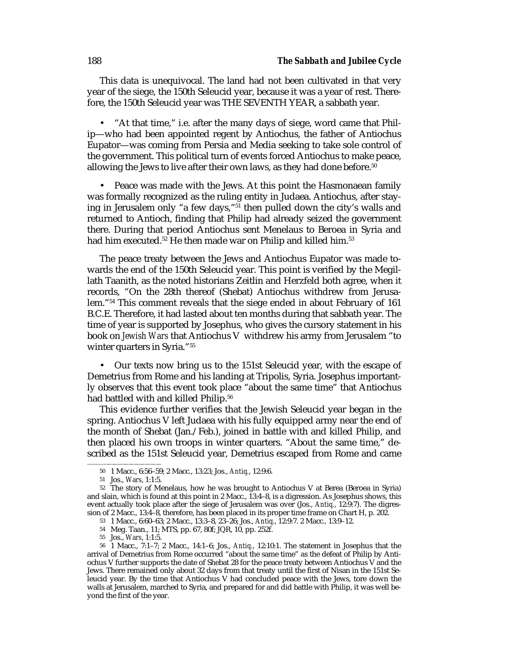This data is unequivocal. The land had not been cultivated in that very year of the siege, the 150th Seleucid year, because it was a year of rest. Therefore, the 150th Seleucid year was THE SEVENTH YEAR, a sabbath year.

• "At that time," i.e. after the many days of siege, word came that Philip—who had been appointed regent by Antiochus, the father of Antiochus Eupator—was coming from Persia and Media seeking to take sole control of the government. This political turn of events forced Antiochus to make peace, allowing the Jews to live after their own laws, as they had done before.<sup>50</sup>

• Peace was made with the Jews. At this point the Hasmonaean family was formally recognized as the ruling entity in Judaea. Antiochus, after staying in Jerusalem only "a few days,"51 then pulled down the city's walls and returned to Antioch, finding that Philip had already seized the government there. During that period Antiochus sent Menelaus to Beroea in Syria and had him executed.<sup>52</sup> He then made war on Philip and killed him.<sup>53</sup>

The peace treaty between the Jews and Antiochus Eupator was made towards the end of the 150th Seleucid year. This point is verified by the Megillath Taanith, as the noted historians Zeitlin and Herzfeld both agree, when it records, "On the 28th thereof (Shebat) Antiochus withdrew from Jerusalem."54 This comment reveals that the siege ended in about February of 161 B.C.E. Therefore, it had lasted about ten months during that sabbath year. The time of year is supported by Josephus, who gives the cursory statement in his book on *Jewish Wars* that Antiochus V withdrew his army from Jerusalem "to winter quarters in Syria."55

• Our texts now bring us to the 151st Seleucid year, with the escape of Demetrius from Rome and his landing at Tripolis, Syria. Josephus importantly observes that this event took place "about the same time" that Antiochus had battled with and killed Philip.<sup>56</sup>

This evidence further verifies that the Jewish Seleucid year began in the spring. Antiochus V left Judaea with his fully equipped army near the end of the month of Shebat (Jan./Feb.), joined in battle with and killed Philip, and then placed his own troops in winter quarters. "About the same time," described as the 151st Seleucid year, Demetrius escaped from Rome and came

–––––––——————————

<sup>50</sup> 1 Macc., 6:56–59; 2 Macc., 13:23; Jos., *Antiq.*, 12:9:6.

<sup>51</sup> Jos., *Wars*, 1:1:5.

<sup>52</sup> The story of Menelaus, how he was brought to Antiochus V at Berea (Beroea in Syria) and slain, which is found at this point in 2 Macc., 13:4–8, is a digression. As Josephus shows, this event actually took place after the siege of Jerusalem was over (Jos., *Antiq.*, 12:9:7). The digression of 2 Macc., 13:4–8, therefore, has been placed in its proper time frame on Chart H, p. 202.

<sup>53</sup> 1 Macc., 6:60–63; 2 Macc., 13:3–8, 23–26; Jos., *Antiq.*, 12:9:7. 2 Macc*.,* 13:9–12.

<sup>54</sup> Meg. Taan., 11; MTS, pp. 67, 80f; JQR, 10, pp. 252f.

<sup>55</sup> Jos., *Wars*, 1:1:5.

<sup>56</sup> 1 Macc., 7:1–7; 2 Macc., 14:1–6; Jos., *Antiq.*, 12:10:1. The statement in Josephus that the arrival of Demetrius from Rome occurred "about the same time" as the defeat of Philip by Antiochus V further supports the date of Shebat 28 for the peace treaty between Antiochus V and the Jews. There remained only about 32 days from that treaty until the first of Nisan in the 151st Seleucid year. By the time that Antiochus V had concluded peace with the Jews, tore down the walls at Jerusalem, marched to Syria, and prepared for and did battle with Philip, it was well beyond the first of the year.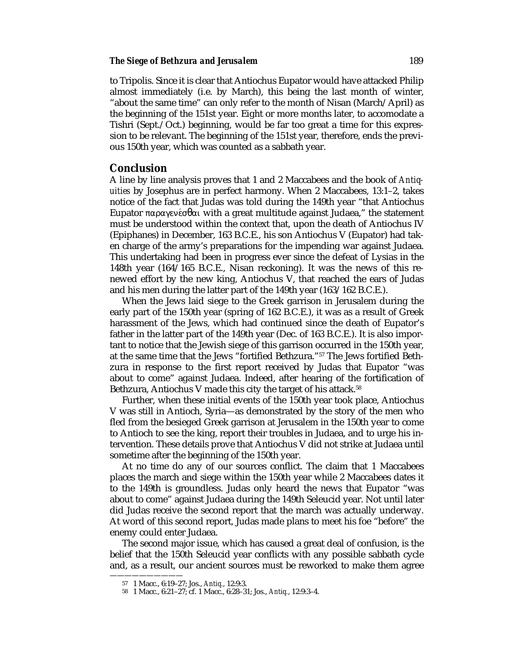## **The Siege of Bethzura and Jerusalem** 189

to Tripolis. Since it is clear that Antiochus Eupator would have attacked Philip almost immediately (i.e. by March), this being the last month of winter, "about the same time" can only refer to the month of Nisan (March/April) as the beginning of the 151st year. Eight or more months later, to accomodate a Tishri (Sept./Oct.) beginning, would be far too great a time for this expression to be relevant. The beginning of the 151st year, therefore, ends the previous 150th year, which was counted as a sabbath year.

# **Conclusion**

A line by line analysis proves that 1 and 2 Maccabees and the book of *Antiquities* by Josephus are in perfect harmony. When 2 Maccabees, 13:1–2, takes notice of the fact that Judas was told during the 149th year "that Antiochus Eupator παραγενέσθαι with a great multitude against Judaea," the statement must be understood within the context that, upon the death of Antiochus IV (Epiphanes) in December, 163 B.C.E., his son Antiochus V (Eupator) had taken charge of the army's preparations for the impending war against Judaea. This undertaking had been in progress ever since the defeat of Lysias in the 148th year (164/165 B.C.E., Nisan reckoning). It was the news of this renewed effort by the new king, Antiochus V, that reached the ears of Judas and his men during the latter part of the 149th year (163/162 B.C.E.).

When the Jews laid siege to the Greek garrison in Jerusalem during the early part of the 150th year (spring of 162 B.C.E.), it was as a result of Greek harassment of the Jews, which had continued since the death of Eupator's father in the latter part of the 149th year (Dec. of 163 B.C.E.). It is also important to notice that the Jewish siege of this garrison occurred in the 150th year, at the same time that the Jews "fortified Bethzura."57 The Jews fortified Bethzura in response to the first report received by Judas that Eupator "was about to come" against Judaea. Indeed, after hearing of the fortification of Bethzura, Antiochus V made this city the target of his attack.<sup>58</sup>

Further, when these initial events of the 150th year took place, Antiochus V was still in Antioch, Syria—as demonstrated by the story of the men who fled from the besieged Greek garrison at Jerusalem in the 150th year to come to Antioch to see the king, report their troubles in Judaea, and to urge his intervention. These details prove that Antiochus V did not strike at Judaea until sometime after the beginning of the 150th year.

At no time do any of our sources conflict. The claim that 1 Maccabees places the march and siege within the 150th year while 2 Maccabees dates it to the 149th is groundless. Judas only heard the news that Eupator "was about to come" against Judaea during the 149th Seleucid year. Not until later did Judas receive the second report that the march was actually underway. At word of this second report, Judas made plans to meet his foe "before" the enemy could enter Judaea.

The second major issue, which has caused a great deal of confusion, is the belief that the 150th Seleucid year conflicts with any possible sabbath cycle and, as a result, our ancient sources must be reworked to make them agree

——————————

<sup>57</sup> 1 Macc., 6:19–27; Jos., *Antiq.*, 12:9:3.

<sup>58</sup> 1 Macc., 6:21–27; cf. 1 Macc., 6:28–31; Jos., *Antiq.*, 12:9:3–4.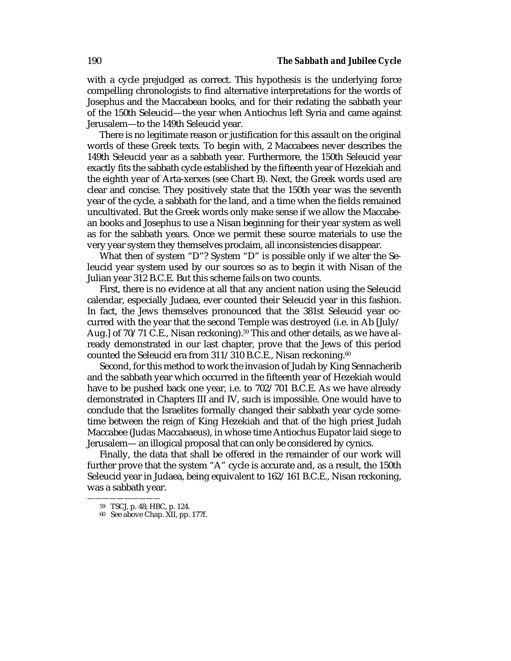with a cycle prejudged as correct. This hypothesis is the underlying force compelling chronologists to find alternative interpretations for the words of Josephus and the Maccabean books, and for their redating the sabbath year of the 150th Seleucid—the year when Antiochus left Syria and came against Jerusalem—to the 149th Seleucid year.

There is no legitimate reason or justification for this assault on the original words of these Greek texts. To begin with, 2 Maccabees never describes the 149th Seleucid year as a sabbath year. Furthermore, the 150th Seleucid year exactly fits the sabbath cycle established by the fifteenth year of Hezekiah and the eighth year of Arta-xerxes (see Chart B). Next, the Greek words used are clear and concise. They positively state that the 150th year was the seventh year of the cycle, a sabbath for the land, and a time when the fields remained uncultivated. But the Greek words only make sense if we allow the Maccabean books and Josephus to use a Nisan beginning for their year system as well as for the sabbath years. Once we permit these source materials to use the very year system they themselves proclaim, all inconsistencies disappear.

What then of system "D"? System "D" is possible only if we alter the Seleucid year system used by our sources so as to begin it with Nisan of the Julian year 312 B.C.E. But this scheme fails on two counts.

First, there is no evidence at all that any ancient nation using the Seleucid calendar, especially Judaea, ever counted their Seleucid year in this fashion. In fact, the Jews themselves pronounced that the 381st Seleucid year occurred with the year that the second Temple was destroyed (i.e. in Ab [July/ Aug.] of 70/71 C.E., Nisan reckoning).<sup>59</sup> This and other details, as we have already demonstrated in our last chapter, prove that the Jews of this period counted the Seleucid era from 311/310 B.C.E., Nisan reckoning.<sup>60</sup>

Second, for this method to work the invasion of Judah by King Sennacherib and the sabbath year which occurred in the fifteenth year of Hezekiah would have to be pushed back one year, i.e. to 702/701 B.C.E. As we have already demonstrated in Chapters III and IV, such is impossible. One would have to conclude that the Israelites formally changed their sabbath year cycle sometime between the reign of King Hezekiah and that of the high priest Judah Maccabee (Judas Maccabaeus), in whose time Antiochus Eupator laid siege to Jerusalem— an illogical proposal that can only be considered by cynics.

Finally, the data that shall be offered in the remainder of our work will further prove that the system "A" cycle is accurate and, as a result, the 150th Seleucid year in Judaea, being equivalent to 162/161 B.C.E., Nisan reckoning, was a sabbath year.

<sup>——————————</sup> 59 TSCJ, p. 48; HBC, p. 124.

<sup>60</sup> See above Chap. XII, pp. 177f.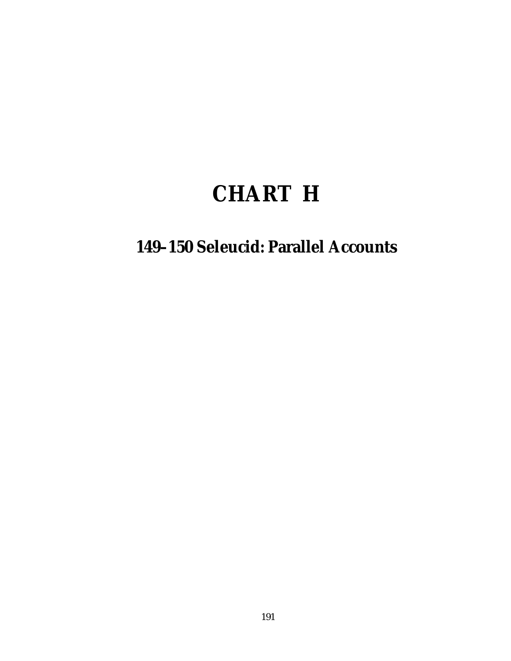# **CHART H**

# **149–150 Seleucid: Parallel Accounts**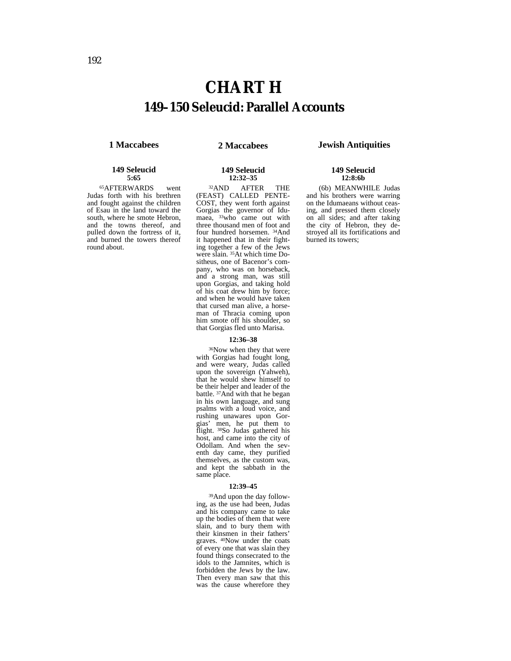**12:32–35**

### **1 Maccabees 2 Maccabees Jewish Antiquities**

#### **149 Seleucid 5:65**

65AFTERWARDS went Judas forth with his brethren and fought against the children of Esau in the land toward the south, where he smote Hebron, and the towns thereof, and pulled down the fortress of it, and burned the towers thereof round about.

32AND AFTER THE (FEAST) CALLED PENTE-COST, they went forth against Gorgias the governor of Idumaea, 33who came out with three thousand men of foot and four hundred horsemen. 34And it happened that in their fighting together a few of the Jews were slain. <sup>35</sup>At which time Dositheus, one of Bacenor's company, who was on horseback, and a strong man, was still upon Gorgias, and taking hold of his coat drew him by force; and when he would have taken that cursed man alive, a horseman of Thracia coming upon him smote off his shoulder, so that Gorgias fled unto Marisa.

#### **12:36–38**

36Now when they that were with Gorgias had fought long, and were weary, Judas called upon the sovereign (Yahweh), that he would shew himself to be their helper and leader of the battle. 37And with that he began in his own language, and sung psalms with a loud voice, and rushing unawares upon Gorgias' men, he put them to flight. 38So Judas gathered his host, and came into the city of Odollam. And when the seventh day came, they purified themselves, as the custom was, and kept the sabbath in the same place.

#### **12:39–45**

39And upon the day following, as the use had been, Judas and his company came to take up the bodies of them that were slain, and to bury them with their kinsmen in their fathers' graves. 40Now under the coats of every one that was slain they found things consecrated to the idols to the Jamnites, which is forbidden the Jews by the law. Then every man saw that this was the cause wherefore they

### **149 Seleucid 12:8:6b**

(6b) MEANWHILE Judas and his brothers were warring on the Idumaeans without ceasing, and pressed them closely on all sides; and after taking the city of Hebron, they destroyed all its fortifications and burned its towers;

# **149 Seleucid**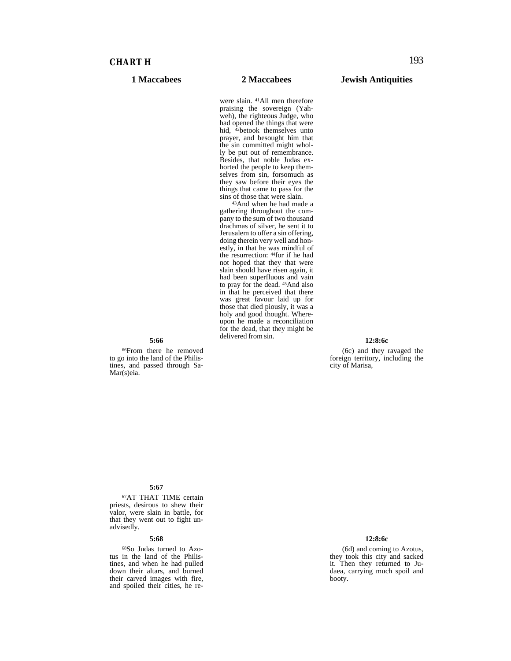# *CHART H* 193

were slain. 41All men therefore praising the sovereign (Yahweh), the righteous Judge, who had opened the things that were hid, <sup>42</sup>betook themselves unto prayer, and besought him that the sin committed might wholly be put out of remembrance. Besides, that noble Judas exhorted the people to keep themselves from sin, forsomuch as they saw before their eyes the things that came to pass for the sins of those that were slain.<br><sup>43</sup>And when he had made a

gathering throughout the company to the sum of two thousand drachmas of silver, he sent it to Jerusalem to offer a sin offering, doing therein very well and honestly, in that he was mindful of the resurrection: 44for if he had not hoped that they that were slain should have risen again, it had been superfluous and vain to pray for the dead. 45And also in that he perceived that there was great favour laid up for those that died piously, it was a holy and good thought. Whereupon he made a reconciliation for the dead, that they might be delivered from sin. **12:8:6c**

#### **5:66**

66From there he removed to go into the land of the Philistines, and passed through Sa-Mar(s)eia.

(6c) and they ravaged the foreign territory, including the city of Marisa,

### **5:67**

67AT THAT TIME certain priests, desirous to shew their valor, were slain in battle, for that they went out to fight unadvisedly.

#### **5:68**

68So Judas turned to Azotus in the land of the Philistines, and when he had pulled down their altars, and burned their carved images with fire, and spoiled their cities, he re-

### **12:8:6c**

(6d) and coming to Azotus, they took this city and sacked it. Then they returned to Judaea, carrying much spoil and booty.

### **1 Maccabees 2 Maccabees Jewish Antiquities**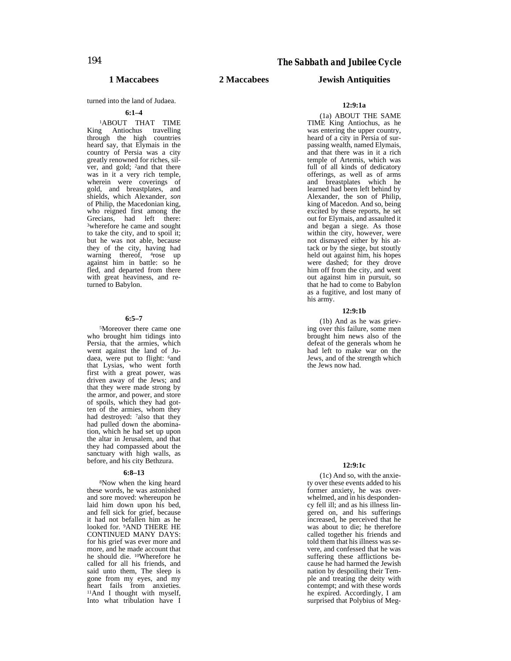turned into the land of Judaea.

### **6:1–4**

1ABOUT THAT TIME King Antiochus travelling through the high countries heard say, that Elymais in the country of Persia was a city greatly renowned for riches, silver, and gold; 2and that there was in it a very rich temple, wherein were coverings of gold, and breastplates, and shields, which Alexander, *son* of Philip, the Macedonian king, who reigned first among the Grecians, had left there: 3wherefore he came and sought to take the city, and to spoil it; but he was not able, because they of the city, having had warning thereof, <sup>4</sup>rose up against him in battle: so he fled, and departed from there with great heaviness, and returned to Babylon.

#### **6:5–7**

5Moreover there came one who brought him tidings into Persia, that the armies, which went against the land of Judaea, were put to flight: 6and that Lysias, who went forth first with a great power, was driven away of the Jews; and that they were made strong by the armor, and power, and store of spoils, which they had gotten of the armies, whom they had destroyed: <sup>7</sup>also that they had pulled down the abomination, which he had set up upon the altar in Jerusalem, and that they had compassed about the sanctuary with high walls, as before, and his city Bethzura.

#### **6:8–13**

8Now when the king heard these words, he was astonished and sore moved: whereupon he laid him down upon his bed, and fell sick for grief, because it had not befallen him as he looked for. 9AND THERE HE CONTINUED MANY DAYS: for his grief was ever more and more, and he made account that he should die. 10Wherefore he called for all his friends, and said unto them, The sleep is gone from my eyes, and my heart fails from anxieties. 11And I thought with myself, Into what tribulation have I

## **1 Maccabees 2 Maccabees Jewish Antiquities**

#### **12:9:1a**

(1a) ABOUT THE SAME TIME King Antiochus, as he was entering the upper country, heard of a city in Persia of surpassing wealth, named Elymais, and that there was in it a rich temple of Artemis, which was full of all kinds of dedicatory offerings, as well as of arms and breastplates which he learned had been left behind by Alexander, the son of Philip, king of Macedon. And so, being excited by these reports, he set out for Elymais, and assaulted it and began a siege. As those within the city, however, were not dismayed either by his attack or by the siege, but stoutly held out against him, his hopes were dashed; for they drove him off from the city, and went out against him in pursuit, so that he had to come to Babylon as a fugitive, and lost many of his army.

#### **12:9:1b**

(1b) And as he was grieving over this failure, some men brought him news also of the defeat of the generals whom he had left to make war on the Jews, and of the strength which the Jews now had.

#### **12:9:1c**

(1c) And so, with the anxiety over these events added to his former anxiety, he was overwhelmed, and in his despondency fell ill; and as his illness lingered on, and his sufferings increased, he perceived that he was about to die; he therefore called together his friends and told them that his illness was severe, and confessed that he was suffering these afflictions because he had harmed the Jewish nation by despoiling their Temple and treating the deity with contempt; and with these words he expired. Accordingly, I am surprised that Polybius of Meg-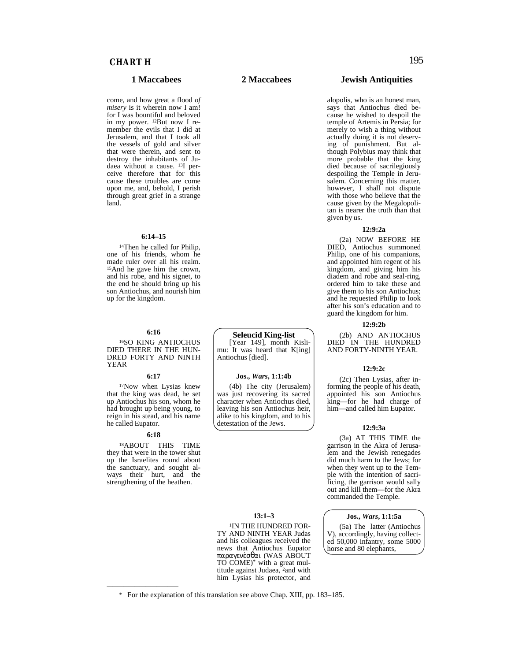come, and how great a flood *of misery* is it wherein now I am! for I was bountiful and beloved in my power. 12But now I remember the evils that I did at Jerusalem, and that I took all the vessels of gold and silver that were therein, and sent to destroy the inhabitants of Judaea without a cause. <sup>13</sup>I perceive therefore that for this cause these troubles are come upon me, and, behold, I perish through great grief in a strange land.

#### **6:14–15**

14Then he called for Philip, one of his friends, whom he made ruler over all his realm. 15And he gave him the crown, and his robe, and his signet, to the end he should bring up his son Antiochus, and nourish him up for the kingdom.

#### **6:16**

16SO KING ANTIOCHUS DIED THERE IN THE HUN-DRED FORTY AND NINTH YEAR

#### **6:17**

17Now when Lysias knew that the king was dead, he set up Antiochus his son, whom he had brought up being young, to reign in his stead, and his name he called Eupator.

#### **6:18**

18ABOUT THIS TIME they that were in the tower shut up the Israelites round about the sanctuary, and sought always their hurt, and the strengthening of the heathen.

—————————————

#### **Seleucid King-list**

[Year 149], month Kislimu: It was heard that K[ing] Antiochus [died].

#### **Jos.,** *Wars***, 1:1:4b**

(4b) The city (Jerusalem) was just recovering its sacred character when Antiochus died, leaving his son Antiochus heir, alike to his kingdom, and to his detestation of the Jews.

# **13:1–3**

**IN THE HUNDRED FOR-**TY AND NINTH YEAR Judas and his colleagues received the news that Antiochus Eupator παραγενσθαι (WAS ABOUT TO COME)\* with a great multitude against Judaea, 2and with him Lysias his protector, and

### **1 Maccabees 2 Maccabees Jewish Antiquities**

alopolis, who is an honest man, says that Antiochus died because he wished to despoil the temple of Artemis in Persia; for merely to wish a thing without actually doing it is not deserving of punishment. But although Polybius may think that more probable that the king died because of sacrilegiously despoiling the Temple in Jerusalem. Concerning this matter, however, I shall not dispute with those who believe that the cause given by the Megalopolitan is nearer the truth than that given by us.

### **12:9:2a**

(2a) NOW BEFORE HE DIED, Antiochus summoned Philip, one of his companions, and appointed him regent of his kingdom, and giving him his diadem and robe and seal-ring, ordered him to take these and give them to his son Antiochus; and he requested Philip to look after his son's education and to guard the kingdom for him.

#### **12:9:2b**

(2b) AND ANTIOCHUS DIED IN THE HUNDRED AND FORTY-NINTH YEAR.

#### **12:9:2c**

(2c) Then Lysias, after informing the people of his death, appointed his son Antiochus king—for he had charge of him—and called him Eupator.

#### **12:9:3a**

(3a) AT THIS TIME the garrison in the Akra of Jerusalem and the Jewish renegades did much harm to the Jews; for when they went up to the Temple with the intention of sacrificing, the garrison would sally out and kill them—for the Akra commanded the Temple.

#### **Jos.,** *Wars***, 1:1:5a**

(5a) The latter (Antiochus V), accordingly, having collected 50,000 infantry, some 5000 horse and 80 elephants,

\* For the explanation of this translation see above Chap. XIII, pp. 183–185.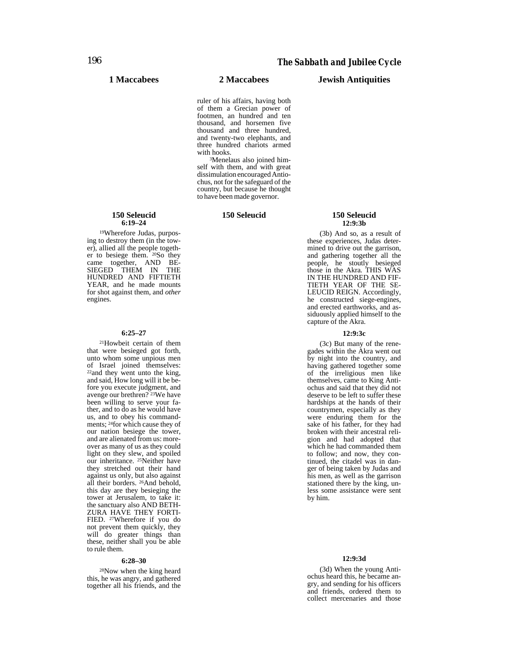ruler of his affairs, having both of them a Grecian power of footmen, an hundred and ten thousand, and horsemen five thousand and three hundred, and twenty-two elephants, and three hundred chariots armed

<sup>3</sup>Menelaus also joined himself with them, and with great dissimulation encouraged Antiochus, not for the safeguard of the country, but because he thought to have been made governor.

### **150 Seleucid 150 Seleucid**

# **12:9:3b**

(3b) And so, as a result of these experiences, Judas determined to drive out the garrison, and gathering together all the people, he stoutly besieged those in the Akra*.* THIS WAS IN THE HUNDRED AND FIF-TIETH YEAR OF THE SE-LEUCID REIGN. Accordingly, he constructed siege-engines, and erected earthworks, and assiduously applied himself to the capture of the Akra.

#### **12:9:3c**

(3c) But many of the renegades within the Akra went out by night into the country, and having gathered together some of the irreligious men like themselves, came to King Antiochus and said that they did not deserve to be left to suffer these hardships at the hands of their countrymen, especially as they were enduring them for the sake of his father, for they had broken with their ancestral religion and had adopted that which he had commanded them to follow; and now, they continued, the citadel was in danger of being taken by Judas and his men, as well as the garrison stationed there by the king, unless some assistance were sent by him.

#### **12:9:3d**

(3d) When the young Antiochus heard this, he became angry, and sending for his officers and friends, ordered them to collect mercenaries and those

#### **150 Seleucid 6:19–24**

19Wherefore Judas, purposing to destroy them (in the tower), allied all the people together to besiege them. 20So they came together, AND BE-SIEGED THEM IN THE HUNDRED AND FIFTIETH YEAR, and he made mounts for shot against them, and *other* engines.

#### **6:25–27**

21Howbeit certain of them that were besieged got forth, unto whom some unpious men of Israel joined themselves:  $22$ and they went unto the king, and said, How long will it be before you execute judgment, and avenge our brethren? 23We have been willing to serve your father, and to do as he would have us, and to obey his commandments; 24for which cause they of our nation besiege the tower, and are alienated from us: moreover as many of us as they could light on they slew, and spoiled our inheritance. <sup>25</sup>Neither have they stretched out their hand against us only, but also against all their borders. 26And behold, this day are they besieging the tower at Jerusalem, to take it: the sanctuary also AND BETH-ZURA HAVE THEY FORTI-FIED. 27Wherefore if you do not prevent them quickly, they will do greater things than these, neither shall you be able to rule them.

#### **6:28–30**

28Now when the king heard this, he was angry, and gathered together all his friends, and the

### **1 Maccabees 2 Maccabees Jewish Antiquities**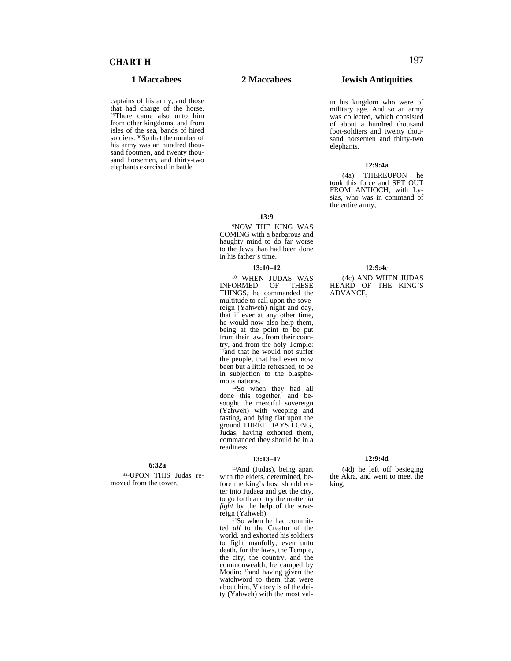captains of his army, and those that had charge of the horse. 29There came also unto him from other kingdoms, and from isles of the sea, bands of hired soldiers. <sup>30</sup>So that the number of his army was an hundred thousand footmen, and twenty thousand horsemen, and thirty-two elephants exercised in battle

**6:32a**

32aUPON THIS Judas removed from the tower,

## **1 Maccabees 2 Maccabees Jewish Antiquities**

in his kingdom who were of military age. And so an army was collected, which consisted of about a hundred thousand foot-soldiers and twenty thousand horsemen and thirty-two elephants.

### **12:9:4a**

(4a) THEREUPON he took this force and SET OUT FROM ANTIOCH, with Lysias, who was in command of the entire army,

**13:9**

9NOW THE KING WAS COMING with a barbarous and haughty mind to do far worse to the Jews than had been done in his father's time.

#### **13:10–12**

<sup>10</sup> WHEN JUDAS WAS<br>ORMED OF THESE INFORMED OF THINGS, he commanded the multitude to call upon the sovereign (Yahweh) night and day, that if ever at any other time, he would now also help them, being at the point to be put from their law, from their country, and from the holy Temple: 11and that he would not suffer the people, that had even now been but a little refreshed, to be in subjection to the blasphemous nations.<br><sup>12</sup>So when they had all

done this together, and besought the merciful sovereign (Yahweh) with weeping and fasting, and lying flat upon the ground THREE DAYS LONG, Judas, having exhorted them, commanded they should be in a readiness.

#### **13:13–17**

13And (Judas), being apart with the elders, determined, before the king's host should enter into Judaea and get the city, to go forth and try the matter *in fight* by the help of the sove-<br>reign (Yahweh).

 $14\text{So}$  when he had committed *all* to the Creator of the world, and exhorted his soldiers to fight manfully, even unto death, for the laws, the Temple, the city, the country, and the commonwealth, he camped by Modin: 15and having given the watchword to them that were about him, Victory is of the deity (Yahweh) with the most val-

#### **12:9:4c**

(4c) AND WHEN JUDAS HEARD OF THE KING'S ADVANCE,

### **12:9:4d**

(4d) he left off besieging the Akra, and went to meet the king,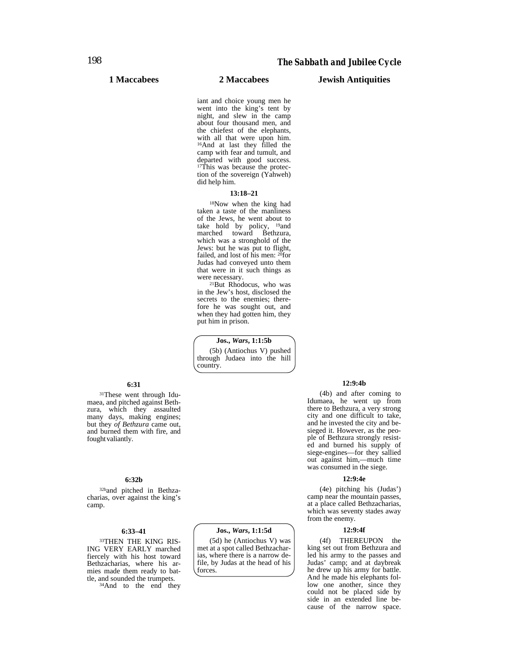### **1 Maccabees 2 Maccabees Jewish Antiquities**

iant and choice young men he went into the king's tent by night, and slew in the camp about four thousand men, and the chiefest of the elephants, with all that were upon him. 16And at last they filled the camp with fear and tumult, and departed with good success. 17This was because the protection of the sovereign (Yahweh) did help him.

#### **13:18–21**

18Now when the king had taken a taste of the manliness of the Jews, he went about to take hold by policy, 19and marched toward Bethzura, which was a stronghold of the Jews: but he was put to flight, failed, and lost of his men: <sup>20</sup>for Judas had conveyed unto them that were in it such things as<br>were necessary.

<sup>21</sup>But Rhodocus, who was in the Jew's host, disclosed the secrets to the enemies; therefore he was sought out, and when they had gotten him, they put him in prison.

**Jos.,** *Wars***, 1:1:5b** (5b) (Antiochus V) pushed through Judaea into the hill country.

### **6:31**

31These went through Idumaea, and pitched against Bethzura, which they assaulted many days, making engines; but they *of Bethzura* came out, and burned them with fire, and fought valiantly.

#### **6:32b**

32band pitched in Bethzacharias, over against the king's camp.

### **6:33–41**

33THEN THE KING RIS-ING VERY EARLY marched fiercely with his host toward Bethzacharias, where his armies made them ready to battle, and sounded the trumpets. 34And to the end they

### **Jos.,** *Wars***, 1:1:5d**

(5d) he (Antiochus V) was met at a spot called Bethzacharias, where there is a narrow defile, by Judas at the head of his forces.

#### **12:9:4b**

(4b) and after coming to Idumaea, he went up from there to Bethzura, a very strong city and one difficult to take, and he invested the city and besieged it. However, as the people of Bethzura strongly resisted and burned his supply of siege-engines—for they sallied out against him,—much time was consumed in the siege.

#### **12:9:4e**

(4e) pitching his (Judas') camp near the mountain passes, at a place called Bethzacharias, which was seventy stades away from the enemy.

#### **12:9:4f**

(4f) THEREUPON the king set out from Bethzura and led his army to the passes and Judas' camp; and at daybreak he drew up his army for battle. And he made his elephants follow one another, since they could not be placed side by side in an extended line because of the narrow space.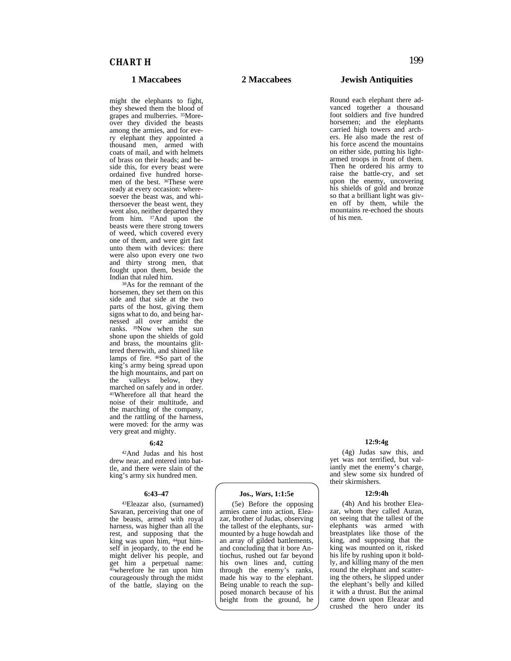might the elephants to fight, they shewed them the blood of grapes and mulberries. 35Moreover they divided the beasts among the armies, and for every elephant they appointed a thousand men, armed with coats of mail, and with helmets of brass on their heads; and beside this, for every beast were ordained five hundred horsemen of the best. 36These were ready at every occasion: wheresoever the beast was, and whithersoever the beast went, they went also, neither departed they from him. <sup>37</sup>And upon the beasts were there strong towers of weed, which covered every one of them, and were girt fast unto them with devices: there were also upon every one two and thirty strong men, that fought upon them, beside the

Indian that ruled him.<br><sup>38</sup>As for the remnant of the horsemen, they set them on this side and that side at the two parts of the host, giving them signs what to do, and being harnessed all over amidst the ranks. 39Now when the sun shone upon the shields of gold and brass, the mountains glittered therewith, and shined like lamps of fire. <sup>40</sup>So part of the king's army being spread upon the high mountains, and part on<br>the valleys below, they valleys below, marched on safely and in order. 41Wherefore all that heard the noise of their multitude, and the marching of the company, and the rattling of the harness, were moved: for the army was very great and mighty.

#### **6:42**

42And Judas and his host drew near, and entered into battle, and there were slain of the king's army six hundred men.

#### **6:43–47**

43Eleazar also, (surnamed) Savaran, perceiving that one of the beasts, armed with royal harness, was higher than all the rest, and supposing that the king was upon him, 44put himself in jeopardy, to the end he might deliver his people, and get him a perpetual name: 45wherefore he ran upon him courageously through the midst of the battle, slaying on the

**Jos.,** *Wars***, 1:1:5e** (5e) Before the opposing armies came into action, Eleazar, brother of Judas, observing the tallest of the elephants, surmounted by a huge howdah and an array of gilded battlements, and concluding that it bore Antiochus, rushed out far beyond his own lines and, cutting through the enemy's ranks, made his way to the elephant. Being unable to reach the supposed monarch because of his height from the ground, he

### **1 Maccabees 2 Maccabees Jewish Antiquities**

Round each elephant there advanced together a thousand foot soldiers and five hundred horsemen; and the elephants carried high towers and archers. He also made the rest of his force ascend the mountains on either side, putting his lightarmed troops in front of them. Then he ordered his army to raise the battle-cry, and set upon the enemy, uncovering his shields of gold and bronze so that a brilliant light was given off by them, while the mountains re-echoed the shouts of his men.

#### **12:9:4g**

(4g) Judas saw this, and yet was not terrified, but valiantly met the enemy's charge, and slew some six hundred of their skirmishers.

#### **12:9:4h**

(4h) And his brother Eleazar, whom they called Auran, on seeing that the tallest of the elephants was armed with breastplates like those of the king, and supposing that the king was mounted on it, risked his life by rushing upon it boldly, and killing many of the men round the elephant and scattering the others, he slipped under the elephant's belly and killed it with a thrust. But the animal came down upon Eleazar and crushed the hero under its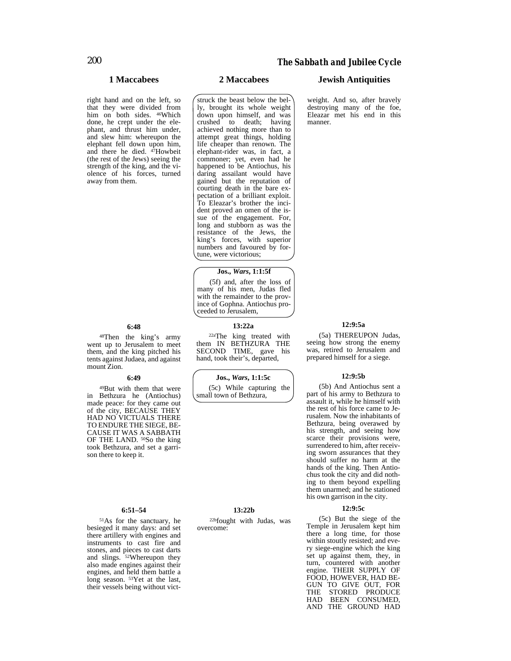#### right hand and on the left, so that they were divided from him on both sides. 46Which done, he crept under the elephant, and thrust him under, and slew him: whereupon the elephant fell down upon him, and there he died. 47Howbeit (the rest of the Jews) seeing the strength of the king, and the violence of his forces, turned away from them.

### **6:48**

48Then the king's army went up to Jerusalem to meet them, and the king pitched his tents against Judaea, and against mount Zion.

#### **6:49**

49But with them that were in Bethzura he (Antiochus) made peace: for they came out of the city, BECAUSE THEY HAD NO VICTUALS THERE TO ENDURE THE SIEGE, BE-CAUSE IT WAS A SABBATH OF THE LAND. 50So the king took Bethzura, and set a garrison there to keep it.

#### **6:51–54**

51As for the sanctuary, he besieged it many days: and set there artillery with engines and instruments to cast fire and stones, and pieces to cast darts and slings. 52Whereupon they also made engines against their engines, and held them battle a long season. <sup>53</sup>Yet at the last, their vessels being without vict-

struck the beast below the belly, brought its whole weight down upon himself, and was crushed to death; having achieved nothing more than to attempt great things, holding life cheaper than renown. The elephant-rider was, in fact, a commoner; yet, even had he happened to be Antiochus, his daring assailant would have gained but the reputation of courting death in the bare expectation of a brilliant exploit. To Eleazar's brother the incident proved an omen of the issue of the engagement. For, long and stubborn as was the resistance of the Jews, the king's forces, with superior numbers and favoured by fortune, were victorious;

#### **Jos.,** *Wars***, 1:1:5f**

(5f) and, after the loss of many of his men, Judas fled with the remainder to the province of Gophna. Antiochus proceeded to Jerusalem,

### **13:22a**

22aThe king treated with them IN BETHZURA THE SECOND TIME, gave his hand, took their's, departed,

**Jos.,** *Wars***, 1:1:5c**

(5c) While capturing the small town of Bethzura,

## **13:22b**

22bfought with Judas, was overcome:

### **1 Maccabees 2 Maccabees Jewish Antiquities**

weight. And so, after bravely destroying many of the foe, Eleazar met his end in this manner.

### **12:9:5a**

(5a) THEREUPON Judas, seeing how strong the enemy was, retired to Jerusalem and prepared himself for a siege.

#### **12:9:5b**

(5b) And Antiochus sent a part of his army to Bethzura to assault it, while he himself with the rest of his force came to Jerusalem. Now the inhabitants of Bethzura, being overawed by his strength, and seeing how scarce their provisions were, surrendered to him, after receiving sworn assurances that they should suffer no harm at the hands of the king. Then Antiochus took the city and did nothing to them beyond expelling them unarmed; and he stationed his own garrison in the city.

#### **12:9:5c**

(5c) But the siege of the Temple in Jerusalem kept him there a long time, for those within stoutly resisted; and every siege-engine which the king set up against them, they, in turn, countered with another engine. THEIR SUPPLY OF FOOD, HOWEVER, HAD BE-GUN TO GIVE OUT, FOR THE STORED PRODUCE HAD BEEN CONSUMED, AND THE GROUND HAD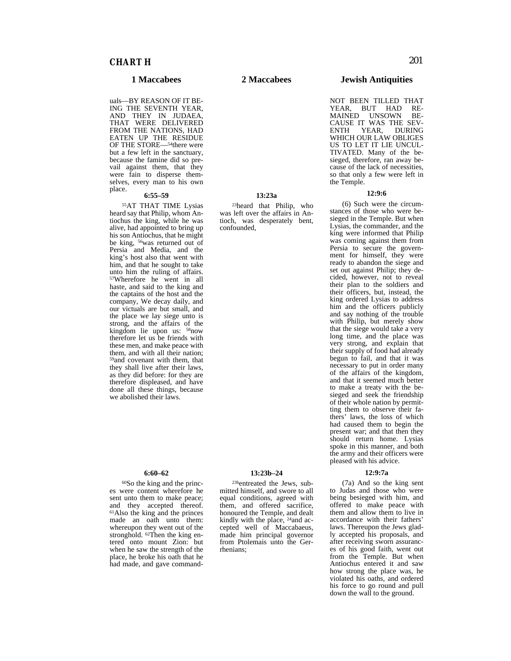uals—BY REASON OF IT BE-ING THE SEVENTH YEAR, AND THEY IN JUDAEA, THAT WERE DELIVERED FROM THE NATIONS, HAD EATEN UP THE RESIDUE OF THE STORE—54there were but a few left in the sanctuary, because the famine did so prevail against them, that they were fain to disperse themselves, every man to his own place.

#### place. **6:55–59**

55AT THAT TIME Lysias heard say that Philip, whom Antiochus the king, while he was alive, had appointed to bring up his son Antiochus, that he might be king, 56was returned out of Persia and Media, and the king's host also that went with him, and that he sought to take unto him the ruling of affairs. 57Wherefore he went in all haste, and said to the king and the captains of the host and the company, We decay daily, and our victuals are but small, and the place we lay siege unto is strong, and the affairs of the kingdom lie upon us: 58now therefore let us be friends with these men, and make peace with them, and with all their nation; 59and covenant with them, that they shall live after their laws, as they did before: for they are therefore displeased, and have done all these things, because we abolished their laws.

#### **6:60–62**

60So the king and the princes were content wherefore he sent unto them to make peace; and they accepted thereof. 61Also the king and the princes made an oath unto them: whereupon they went out of the stronghold. <sup>62</sup>Then the king entered onto mount Zion: but when he saw the strength of the place, he broke his oath that he had made, and gave command-

**1 Maccabees 2 Maccabees Jewish Antiquities**

NOT BEEN TILLED THAT YEAR, BUT HAD RE-MAINED UNSOWN BE-CAUSE IT WAS THE SEV-ENTH YEAR, DURING WHICH OUR LAW OBLIGES US TO LET IT LIE UNCUL-TIVATED. Many of the besieged, therefore, ran away because of the lack of necessities, so that only a few were left in the Temple.

#### **12:9:6**

(6) Such were the circumstances of those who were besieged in the Temple. But when Lysias, the commander, and the king were informed that Philip was coming against them from Persia to secure the government for himself, they were ready to abandon the siege and set out against Philip; they decided, however, not to reveal their plan to the soldiers and their officers, but, instead, the king ordered Lysias to address him and the officers publicly and say nothing of the trouble with Philip, but merely show that the siege would take a very long time, and the place was very strong, and explain that their supply of food had already begun to fail, and that it was necessary to put in order many of the affairs of the kingdom, and that it seemed much better to make a treaty with the besieged and seek the friendship of their whole nation by permitting them to observe their fathers' laws, the loss of which had caused them to begin the present war; and that then they should return home. Lysias spoke in this manner, and both the army and their officers were pleased with his advice.

#### **12:9:7a**

(7a) And so the king sent to Judas and those who were being besieged with him, and offered to make peace with them and allow them to live in accordance with their fathers' laws. Thereupon the Jews gladly accepted his proposals, and after receiving sworn assurances of his good faith, went out from the Temple. But when Antiochus entered it and saw how strong the place was, he violated his oaths, and ordered his force to go round and pull down the wall to the ground.

### **13:23a** 23heard that Philip, who

was left over the affairs in Antioch, was desperately bent, confounded,

# **13:23b–24**

23bentreated the Jews, submitted himself, and swore to all equal conditions, agreed with them, and offered sacrifice, honoured the Temple, and dealt kindly with the place, <sup>24</sup>and accepted well of Maccabaeus, made him principal governor from Ptolemais unto the Gerrhenians;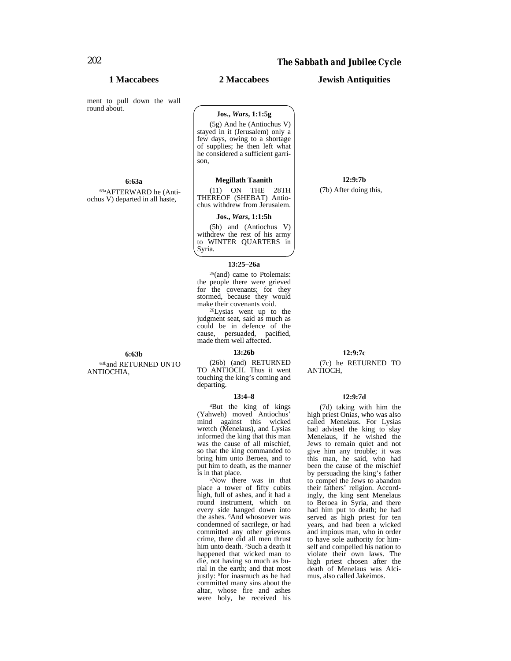**1 Maccabees 2 Maccabees Jewish Antiquities**

ment to pull down the wall round about.

#### **6:63a**

63aAFTERWARD he (Antiochus V) departed in all haste,

**6:63b** 63band RETURNED UNTO ANTIOCHIA,

### **Jos.,** *Wars***, 1:1:5g**

(5g) And he (Antiochus V) stayed in it (Jerusalem) only a few days, owing to a shortage of supplies; he then left what he considered a sufficient garrison,

### **Megillath Taanith**

(11) ON THE 28TH THEREOF (SHEBAT) Antiochus withdrew from Jerusalem.

#### **Jos.,** *Wars***, 1:1:5h**

(5h) and (Antiochus V) withdrew the rest of his army to WINTER QUARTERS in Syria.

#### **13:25–26a**

25(and) came to Ptolemais: the people there were grieved for the covenants; for they stormed, because they would<br>make their covenants void.

 $^{26}Lysias$  went up to the judgment seat, said as much as could be in defence of the cause, persuaded, pacified, made them well affected.

#### **13:26b**

(26b) (and) RETURNED TO ANTIOCH. Thus it went touching the king's coming and departing.

#### **13:4–8**

4But the king of kings (Yahweh) moved Antiochus' mind against this wicked wretch (Menelaus), and Lysias informed the king that this man was the cause of all mischief, so that the king commanded to bring him unto Beroea, and to put him to death, as the manner is in that place.

5Now there was in that place a tower of fifty cubits high, full of ashes, and it had a round instrument, which on every side hanged down into the ashes. 6And whosoever was condemned of sacrilege, or had committed any other grievous crime, there did all men thrust him unto death. 7Such a death it happened that wicked man to die, not having so much as burial in the earth; and that most justly: 8for inasmuch as he had committed many sins about the altar, whose fire and ashes were holy, he received his

**12:9:7b**

(7b) After doing this,

### **12:9:7c**

(7c) he RETURNED TO ANTIOCH,

#### **12:9:7d**

(7d) taking with him the high priest Onias, who was also called Menelaus. For Lysias had advised the king to slay Menelaus, if he wished the Jews to remain quiet and not give him any trouble; it was this man, he said, who had been the cause of the mischief by persuading the king's father to compel the Jews to abandon their fathers' religion. Accordingly, the king sent Menelaus to Beroea in Syria, and there had him put to death; he had served as high priest for ten years, and had been a wicked and impious man, who in order to have sole authority for himself and compelled his nation to violate their own laws. The high priest chosen after the death of Menelaus was Alcimus, also called Jakeimos.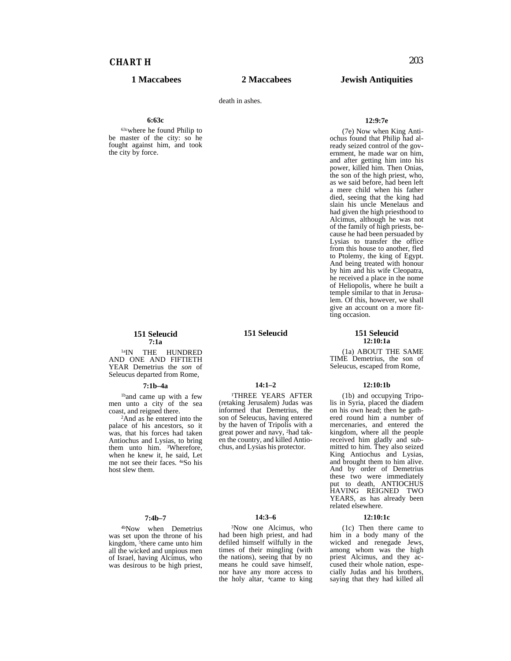# *CHART H* 203

### **1 Maccabees 2 Maccabees Jewish Antiquities**

death in ashes.

#### **6:63c**

63cwhere he found Philip to be master of the city: so he fought against him, and took the city by force.

#### **12:9:7e**

(7e) Now when King Antiochus found that Philip had already seized control of the government, he made war on him, and after getting him into his power, killed him. Then Onias, the son of the high priest, who, as we said before, had been left a mere child when his father died, seeing that the king had slain his uncle Menelaus and had given the high priesthood to Alcimus, although he was not of the family of high priests, because he had been persuaded by Lysias to transfer the office from this house to another, fled to Ptolemy, the king of Egypt. And being treated with honour by him and his wife Cleopatra, he received a place in the nome of Heliopolis, where he built a temple similar to that in Jerusalem. Of this, however, we shall give an account on a more fitting occasion.

#### **151 Seleucid 12:10:1a**

(1a) ABOUT THE SAME TIME Demetrius, the son of Seleucus, escaped from Rome,

#### **12:10:1b**

(1b) and occupying Tripolis in Syria, placed the diadem on his own head; then he gathered round him a number of mercenaries, and entered the kingdom, where all the people received him gladly and submitted to him. They also seized King Antiochus and Lysias, and brought them to him alive. And by order of Demetrius these two were immediately put to death, ANTIOCHUS HAVING REIGNED TWO YEARS, as has already been related elsewhere.

#### **12:10:1c**

(1c) Then there came to him in a body many of the wicked and renegade Jews, among whom was the high priest Alcimus, and they accused their whole nation, especially Judas and his brothers, saying that they had killed all

**151 Seleucid 7:1a**

1aIN THE HUNDRED AND ONE AND FIFTIETH YEAR Demetrius the *son* of Seleucus departed from Rome,

#### **7:1b–4a**

1band came up with a few men unto a city of the sea

<sup>2</sup>And as he entered into the palace of his ancestors, so it was, that his forces had taken Antiochus and Lysias, to bring them unto him. <sup>3</sup>Wherefore, when he knew it, he said, Let me not see their faces. 4aSo his host slew them.

#### **7:4b–7**

4bNow when Demetrius was set upon the throne of his kingdom, <sup>5</sup>there came unto him all the wicked and unpious men of Israel, having Alcimus, who was desirous to be high priest,

**151 Seleucid**

**14:1–2** 1THREE YEARS AFTER (retaking Jerusalem) Judas was (retaking Jerusalem) Judas was<br>informed that Demetrius, the

by the haven of Tripolis with a great power and navy, 2had taken the country, and killed Antiochus, and Lysias his protector.

son of Seleucus, having entered

#### **14:3–6**

3Now one Alcimus, who had been high priest, and had defiled himself wilfully in the times of their mingling (with the nations), seeing that by no means he could save himself, nor have any more access to the holy altar, 4came to king